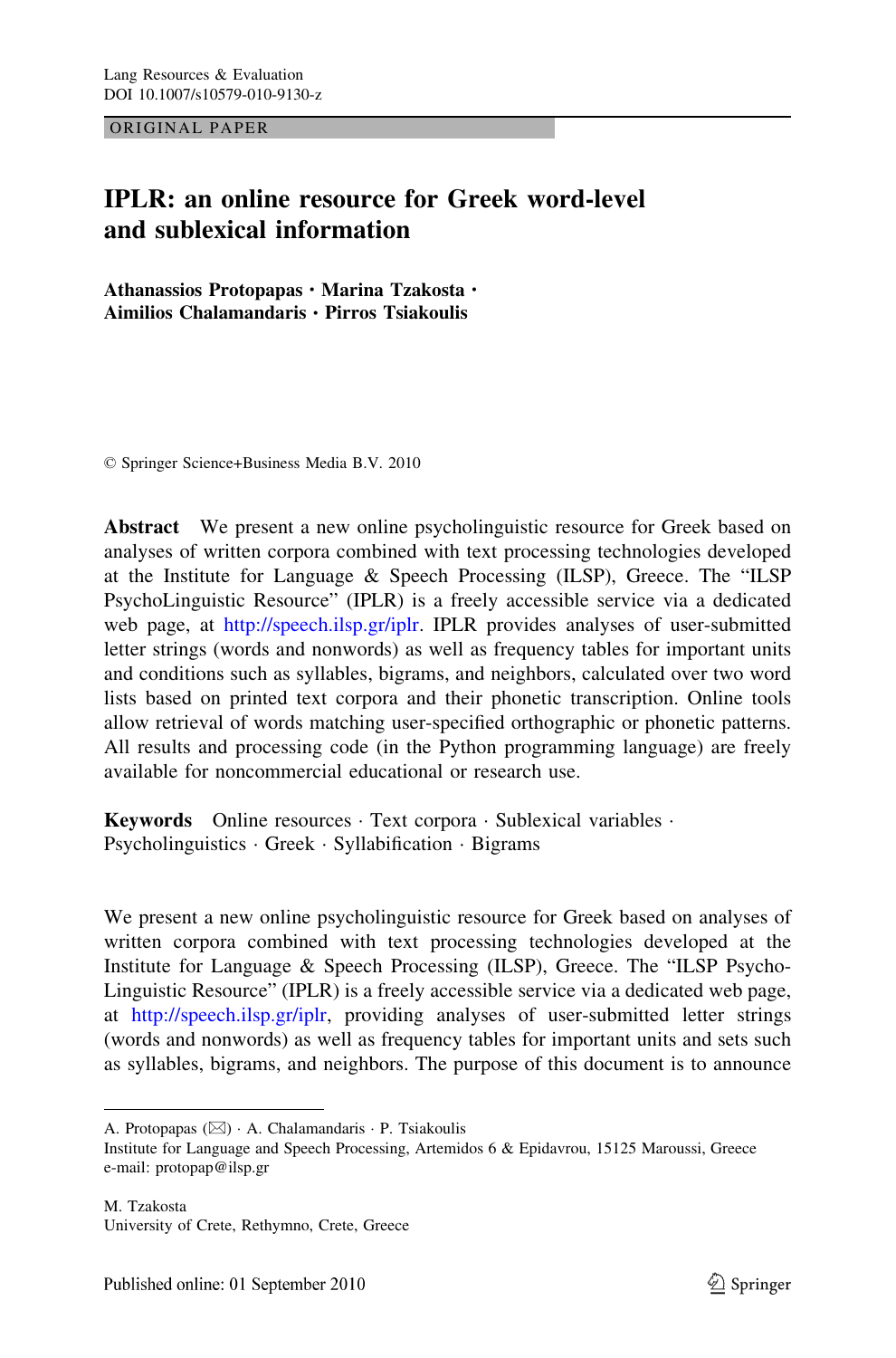ORIGINAL PAPER

# IPLR: an online resource for Greek word-level and sublexical information

Athanassios Protopapas · Marina Tzakosta · Aimilios Chalamandaris · Pirros Tsiakoulis

© Springer Science+Business Media B.V. 2010

Abstract We present a new online psycholinguistic resource for Greek based on analyses of written corpora combined with text processing technologies developed at the Institute for Language & Speech Processing (ILSP), Greece. The "ILSP PsychoLinguistic Resource" (IPLR) is a freely accessible service via a dedicated web page, at [http://speech.ilsp.gr/iplr.](http://speech.ilsp.gr/iplr) IPLR provides analyses of user-submitted letter strings (words and nonwords) as well as frequency tables for important units and conditions such as syllables, bigrams, and neighbors, calculated over two word lists based on printed text corpora and their phonetic transcription. Online tools allow retrieval of words matching user-specified orthographic or phonetic patterns. All results and processing code (in the Python programming language) are freely available for noncommercial educational or research use.

Keywords Online resources · Text corpora · Sublexical variables · Psycholinguistics · Greek · Syllabification · Bigrams

We present a new online psycholinguistic resource for Greek based on analyses of written corpora combined with text processing technologies developed at the Institute for Language & Speech Processing (ILSP), Greece. The "ILSP Psycho-Linguistic Resource" (IPLR) is a freely accessible service via a dedicated web page, at <http://speech.ilsp.gr/iplr>, providing analyses of user-submitted letter strings (words and nonwords) as well as frequency tables for important units and sets such as syllables, bigrams, and neighbors. The purpose of this document is to announce

A. Protopapas (&) · A. Chalamandaris · P. Tsiakoulis

Institute for Language and Speech Processing, Artemidos 6 & Epidavrou, 15125 Maroussi, Greece e-mail: protopap@ilsp.gr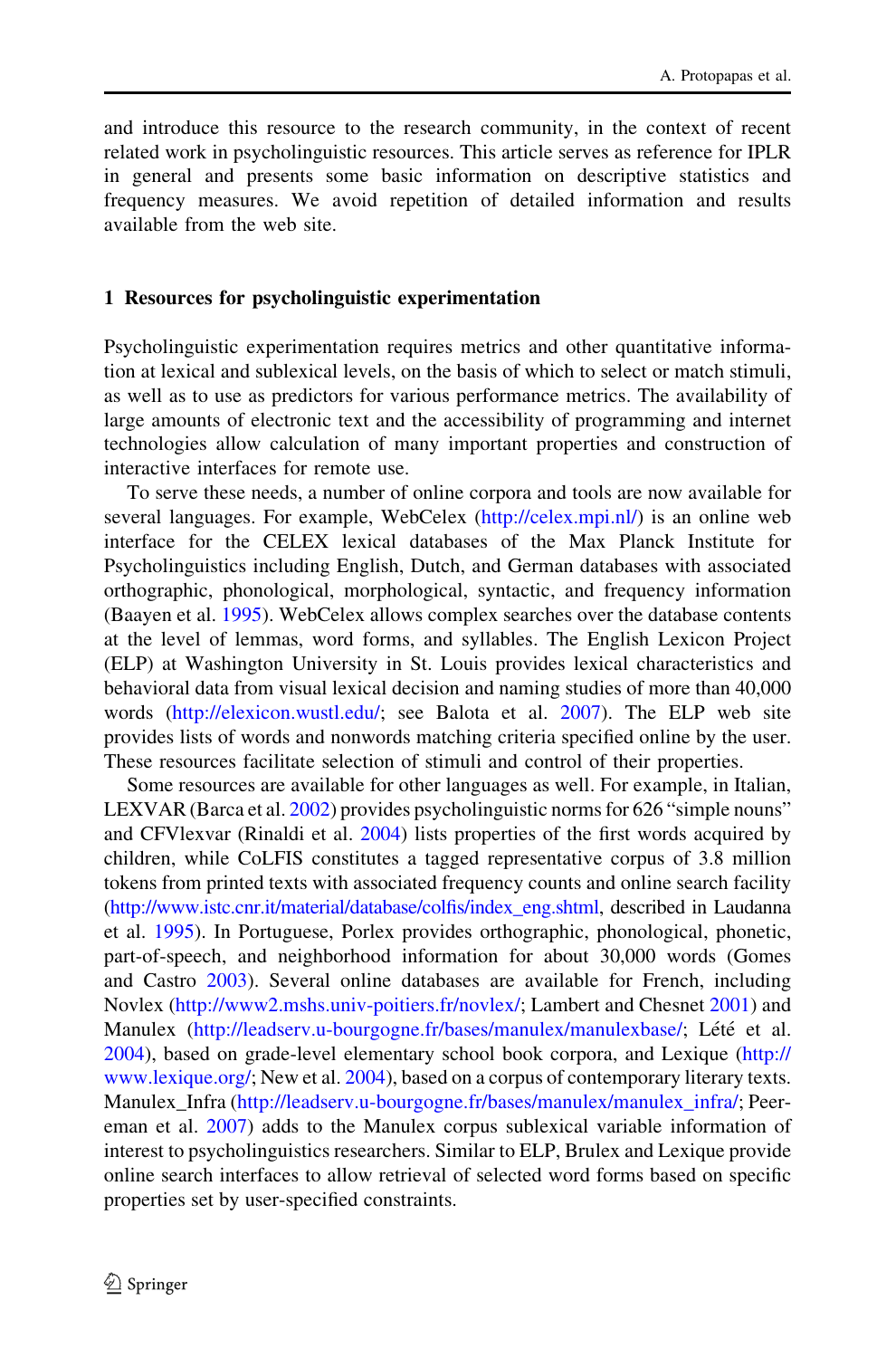and introduce this resource to the research community, in the context of recent related work in psycholinguistic resources. This article serves as reference for IPLR in general and presents some basic information on descriptive statistics and frequency measures. We avoid repetition of detailed information and results available from the web site.

#### 1 Resources for psycholinguistic experimentation

Psycholinguistic experimentation requires metrics and other quantitative information at lexical and sublexical levels, on the basis of which to select or match stimuli, as well as to use as predictors for various performance metrics. The availability of large amounts of electronic text and the accessibility of programming and internet technologies allow calculation of many important properties and construction of interactive interfaces for remote use.

To serve these needs, a number of online corpora and tools are now available for several languages. For example, WebCelex [\(http://celex.mpi.nl/\)](http://celex.mpi.nl/) is an online web interface for the CELEX lexical databases of the Max Planck Institute for Psycholinguistics including English, Dutch, and German databases with associated orthographic, phonological, morphological, syntactic, and frequency information (Baayen et al. [1995\)](#page-9-0). WebCelex allows complex searches over the database contents at the level of lemmas, word forms, and syllables. The English Lexicon Project (ELP) at Washington University in St. Louis provides lexical characteristics and behavioral data from visual lexical decision and naming studies of more than 40,000 words ([http://elexicon.wustl.edu/;](http://elexicon.wustl.edu/) see Balota et al. [2007\)](#page-9-0). The ELP web site provides lists of words and nonwords matching criteria specified online by the user. These resources facilitate selection of stimuli and control of their properties.

Some resources are available for other languages as well. For example, in Italian, LEXVAR (Barca et al. [2002](#page-9-0)) provides psycholinguistic norms for 626 "simple nouns" and CFVlexvar (Rinaldi et al. [2004\)](#page-10-0) lists properties of the first words acquired by children, while CoLFIS constitutes a tagged representative corpus of 3.8 million tokens from printed texts with associated frequency counts and online search facility [\(http://www.istc.cnr.it/material/database/colfis/index\\_eng.shtml,](http://www.istc.cnr.it/material/database/colfis/index_eng.shtml) described in Laudanna et al. [1995](#page-9-0)). In Portuguese, Porlex provides orthographic, phonological, phonetic, part-of-speech, and neighborhood information for about 30,000 words (Gomes and Castro [2003](#page-9-0)). Several online databases are available for French, including Novlex [\(http://www2.mshs.univ-poitiers.fr/novlex/](http://www2.mshs.univ-poitiers.fr/novlex/); Lambert and Chesnet [2001](#page-9-0)) and Manulex [\(http://leadserv.u-bourgogne.fr/bases/manulex/manulexbase/;](http://leadserv.u-bourgogne.fr/bases/manulex/manulexbase/) Lété et al. [2004\)](#page-10-0), based on grade-level elementary school book corpora, and Lexique [\(http://](http://www.lexique.org/) [www.lexique.org/](http://www.lexique.org/); New et al. [2004](#page-10-0)), based on a corpus of contemporary literary texts. Manulex\_Infra [\(http://leadserv.u-bourgogne.fr/bases/manulex/manulex\\_infra/](http://leadserv.u-bourgogne.fr/bases/manulex/manulex_infra/); Peereman et al. [2007](#page-10-0)) adds to the Manulex corpus sublexical variable information of interest to psycholinguistics researchers. Similar to ELP, Brulex and Lexique provide online search interfaces to allow retrieval of selected word forms based on specific properties set by user-specified constraints.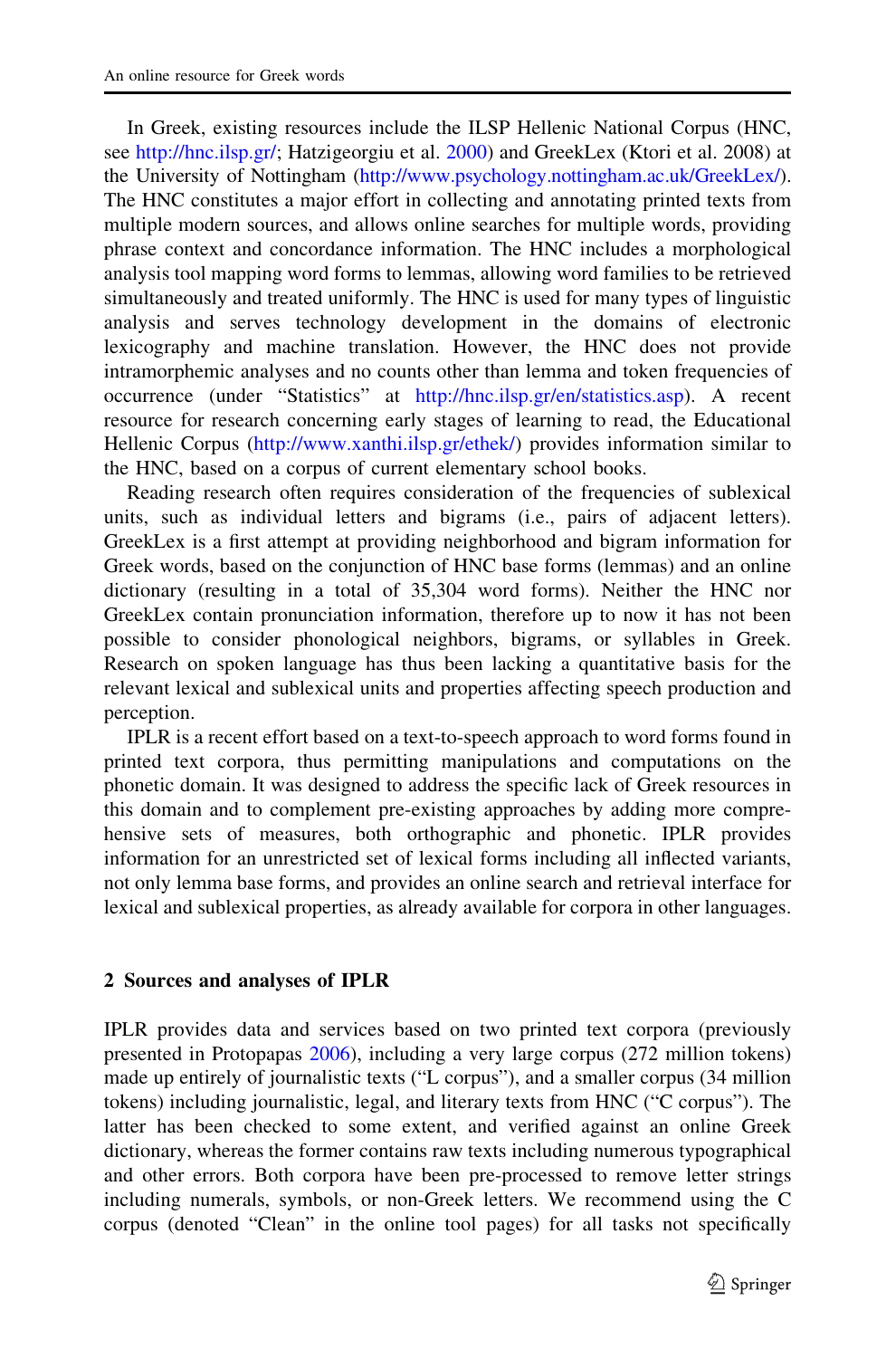In Greek, existing resources include the ILSP Hellenic National Corpus (HNC, see [http://hnc.ilsp.gr/;](http://hnc.ilsp.gr/) Hatzigeorgiu et al. [2000\)](#page-9-0) and GreekLex (Ktori et al. 2008) at the University of Nottingham ([http://www.psychology.nottingham.ac.uk/GreekLex/\)](http://www.psychology.nottingham.ac.uk/GreekLex/). The HNC constitutes a major effort in collecting and annotating printed texts from multiple modern sources, and allows online searches for multiple words, providing phrase context and concordance information. The HNC includes a morphological analysis tool mapping word forms to lemmas, allowing word families to be retrieved simultaneously and treated uniformly. The HNC is used for many types of linguistic analysis and serves technology development in the domains of electronic lexicography and machine translation. However, the HNC does not provide intramorphemic analyses and no counts other than lemma and token frequencies of occurrence (under "Statistics" at [http://hnc.ilsp.gr/en/statistics.asp\)](http://hnc.ilsp.gr/en/statistics.asp). A recent resource for research concerning early stages of learning to read, the Educational Hellenic Corpus ([http://www.xanthi.ilsp.gr/ethek/\)](http://www.xanthi.ilsp.gr/ethek/) provides information similar to the HNC, based on a corpus of current elementary school books.

Reading research often requires consideration of the frequencies of sublexical units, such as individual letters and bigrams (i.e., pairs of adjacent letters). GreekLex is a first attempt at providing neighborhood and bigram information for Greek words, based on the conjunction of HNC base forms (lemmas) and an online dictionary (resulting in a total of 35,304 word forms). Neither the HNC nor GreekLex contain pronunciation information, therefore up to now it has not been possible to consider phonological neighbors, bigrams, or syllables in Greek. Research on spoken language has thus been lacking a quantitative basis for the relevant lexical and sublexical units and properties affecting speech production and perception.

IPLR is a recent effort based on a text-to-speech approach to word forms found in printed text corpora, thus permitting manipulations and computations on the phonetic domain. It was designed to address the specific lack of Greek resources in this domain and to complement pre-existing approaches by adding more comprehensive sets of measures, both orthographic and phonetic. IPLR provides information for an unrestricted set of lexical forms including all inflected variants, not only lemma base forms, and provides an online search and retrieval interface for lexical and sublexical properties, as already available for corpora in other languages.

# 2 Sources and analyses of IPLR

IPLR provides data and services based on two printed text corpora (previously presented in Protopapas [2006\)](#page-10-0), including a very large corpus (272 million tokens) made up entirely of journalistic texts ("L corpus"), and a smaller corpus (34 million tokens) including journalistic, legal, and literary texts from HNC ("C corpus"). The latter has been checked to some extent, and verified against an online Greek dictionary, whereas the former contains raw texts including numerous typographical and other errors. Both corpora have been pre-processed to remove letter strings including numerals, symbols, or non-Greek letters. We recommend using the C corpus (denoted "Clean" in the online tool pages) for all tasks not specifically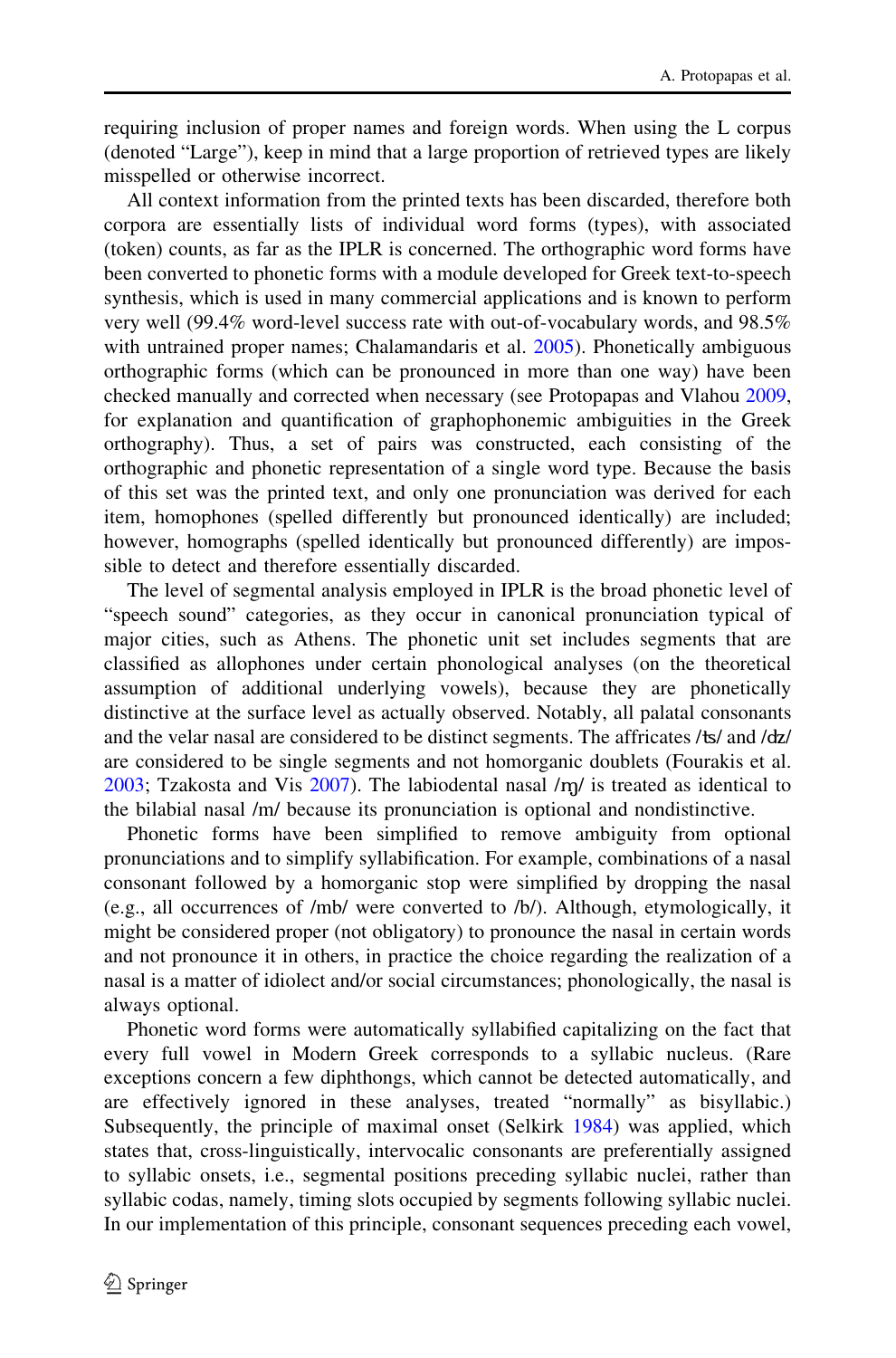requiring inclusion of proper names and foreign words. When using the L corpus (denoted "Large"), keep in mind that a large proportion of retrieved types are likely misspelled or otherwise incorrect.

All context information from the printed texts has been discarded, therefore both corpora are essentially lists of individual word forms (types), with associated (token) counts, as far as the IPLR is concerned. The orthographic word forms have been converted to phonetic forms with a module developed for Greek text-to-speech synthesis, which is used in many commercial applications and is known to perform very well (99.4% word-level success rate with out-of-vocabulary words, and 98.5% with untrained proper names; Chalamandaris et al. [2005\)](#page-9-0). Phonetically ambiguous orthographic forms (which can be pronounced in more than one way) have been checked manually and corrected when necessary (see Protopapas and Vlahou [2009,](#page-10-0) for explanation and quantification of graphophonemic ambiguities in the Greek orthography). Thus, a set of pairs was constructed, each consisting of the orthographic and phonetic representation of a single word type. Because the basis of this set was the printed text, and only one pronunciation was derived for each item, homophones (spelled differently but pronounced identically) are included; however, homographs (spelled identically but pronounced differently) are impossible to detect and therefore essentially discarded.

The level of segmental analysis employed in IPLR is the broad phonetic level of "speech sound" categories, as they occur in canonical pronunciation typical of major cities, such as Athens. The phonetic unit set includes segments that are classified as allophones under certain phonological analyses (on the theoretical assumption of additional underlying vowels), because they are phonetically distinctive at the surface level as actually observed. Notably, all palatal consonants and the velar nasal are considered to be distinct segments. The affricates /ts/ and /dz/ are considered to be single segments and not homorganic doublets (Fourakis et al. [2003;](#page-9-0) Tzakosta and Vis  $2007$ ). The labiodental nasal /m/ is treated as identical to the bilabial nasal /m/ because its pronunciation is optional and nondistinctive.

Phonetic forms have been simplified to remove ambiguity from optional pronunciations and to simplify syllabification. For example, combinations of a nasal consonant followed by a homorganic stop were simplified by dropping the nasal (e.g., all occurrences of /mb/ were converted to /b/). Although, etymologically, it might be considered proper (not obligatory) to pronounce the nasal in certain words and not pronounce it in others, in practice the choice regarding the realization of a nasal is a matter of idiolect and/or social circumstances; phonologically, the nasal is always optional.

Phonetic word forms were automatically syllabified capitalizing on the fact that every full vowel in Modern Greek corresponds to a syllabic nucleus. (Rare exceptions concern a few diphthongs, which cannot be detected automatically, and are effectively ignored in these analyses, treated "normally" as bisyllabic.) Subsequently, the principle of maximal onset (Selkirk [1984\)](#page-10-0) was applied, which states that, cross-linguistically, intervocalic consonants are preferentially assigned to syllabic onsets, i.e., segmental positions preceding syllabic nuclei, rather than syllabic codas, namely, timing slots occupied by segments following syllabic nuclei. In our implementation of this principle, consonant sequences preceding each vowel,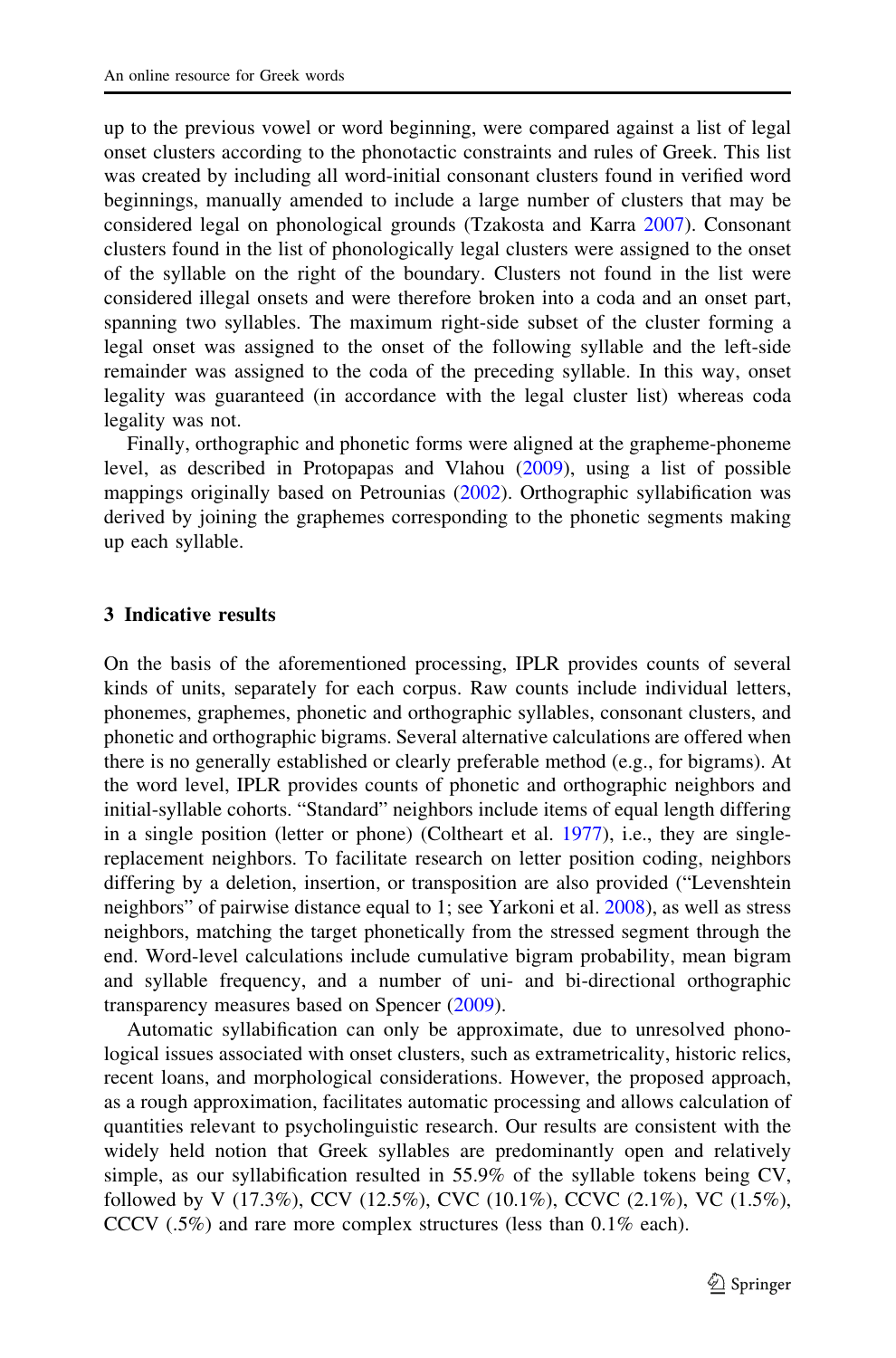up to the previous vowel or word beginning, were compared against a list of legal onset clusters according to the phonotactic constraints and rules of Greek. This list was created by including all word-initial consonant clusters found in verified word beginnings, manually amended to include a large number of clusters that may be considered legal on phonological grounds (Tzakosta and Karra [2007\)](#page-10-0). Consonant clusters found in the list of phonologically legal clusters were assigned to the onset of the syllable on the right of the boundary. Clusters not found in the list were considered illegal onsets and were therefore broken into a coda and an onset part, spanning two syllables. The maximum right-side subset of the cluster forming a legal onset was assigned to the onset of the following syllable and the left-side remainder was assigned to the coda of the preceding syllable. In this way, onset legality was guaranteed (in accordance with the legal cluster list) whereas coda legality was not.

Finally, orthographic and phonetic forms were aligned at the grapheme-phoneme level, as described in Protopapas and Vlahou [\(2009](#page-10-0)), using a list of possible mappings originally based on Petrounias ([2002\)](#page-10-0). Orthographic syllabification was derived by joining the graphemes corresponding to the phonetic segments making up each syllable.

#### 3 Indicative results

On the basis of the aforementioned processing, IPLR provides counts of several kinds of units, separately for each corpus. Raw counts include individual letters, phonemes, graphemes, phonetic and orthographic syllables, consonant clusters, and phonetic and orthographic bigrams. Several alternative calculations are offered when there is no generally established or clearly preferable method (e.g., for bigrams). At the word level, IPLR provides counts of phonetic and orthographic neighbors and initial-syllable cohorts. "Standard" neighbors include items of equal length differing in a single position (letter or phone) (Coltheart et al. [1977\)](#page-9-0), i.e., they are singlereplacement neighbors. To facilitate research on letter position coding, neighbors differing by a deletion, insertion, or transposition are also provided ("Levenshtein neighbors" of pairwise distance equal to 1; see Yarkoni et al. [2008\)](#page-10-0), as well as stress neighbors, matching the target phonetically from the stressed segment through the end. Word-level calculations include cumulative bigram probability, mean bigram and syllable frequency, and a number of uni- and bi-directional orthographic transparency measures based on Spencer ([2009\)](#page-10-0).

Automatic syllabification can only be approximate, due to unresolved phonological issues associated with onset clusters, such as extrametricality, historic relics, recent loans, and morphological considerations. However, the proposed approach, as a rough approximation, facilitates automatic processing and allows calculation of quantities relevant to psycholinguistic research. Our results are consistent with the widely held notion that Greek syllables are predominantly open and relatively simple, as our syllabification resulted in 55.9% of the syllable tokens being CV, followed by V (17.3%), CCV (12.5%), CVC (10.1%), CCVC (2.1%), VC (1.5%), CCCV (.5%) and rare more complex structures (less than 0.1% each).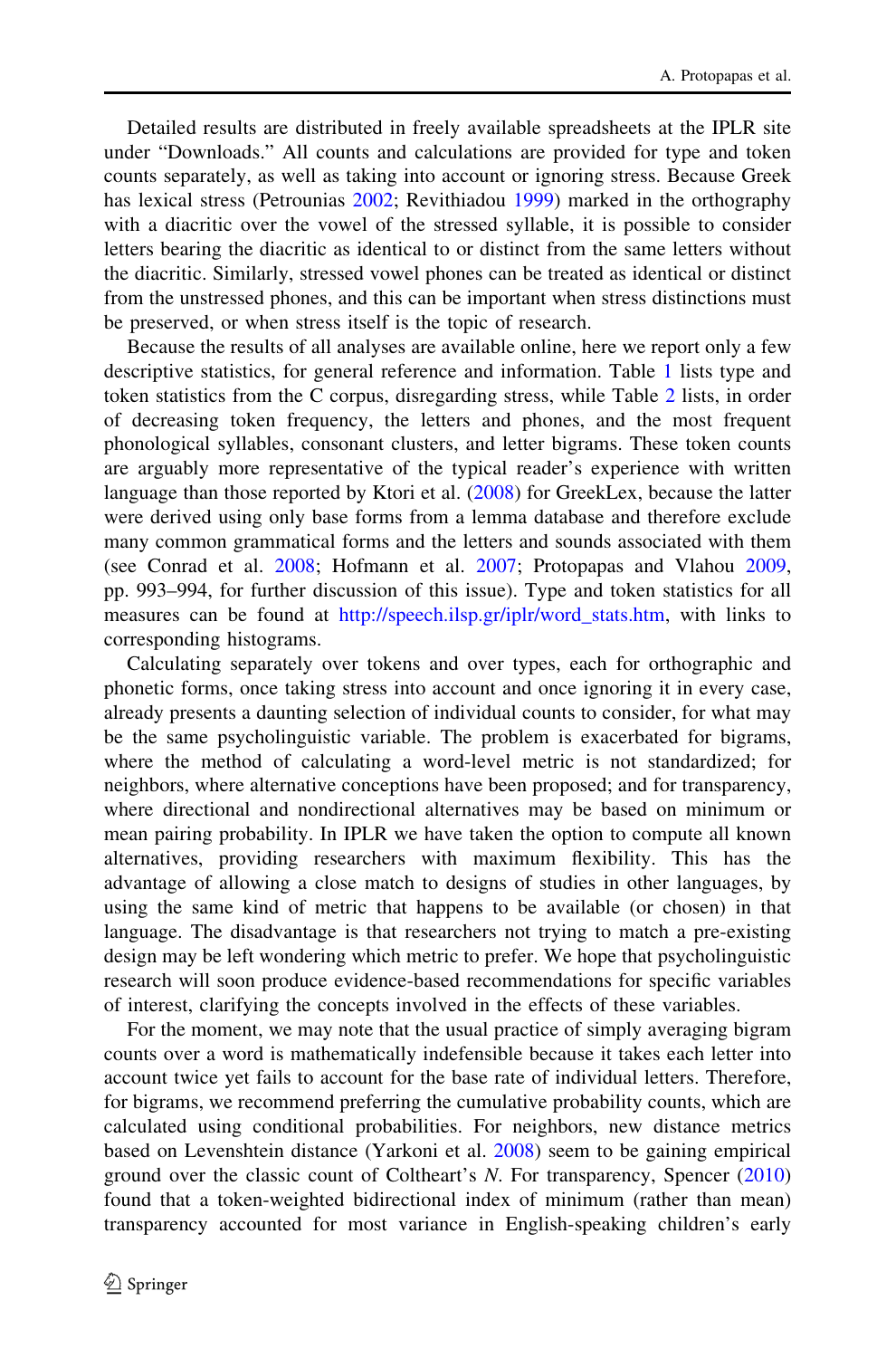Detailed results are distributed in freely available spreadsheets at the IPLR site under "Downloads." All counts and calculations are provided for type and token counts separately, as well as taking into account or ignoring stress. Because Greek has lexical stress (Petrounias [2002;](#page-10-0) Revithiadou [1999\)](#page-10-0) marked in the orthography with a diacritic over the vowel of the stressed syllable, it is possible to consider letters bearing the diacritic as identical to or distinct from the same letters without the diacritic. Similarly, stressed vowel phones can be treated as identical or distinct from the unstressed phones, and this can be important when stress distinctions must be preserved, or when stress itself is the topic of research.

Because the results of all analyses are available online, here we report only a few descriptive statistics, for general reference and information. Table [1](#page-6-0) lists type and token statistics from the C corpus, disregarding stress, while Table [2](#page-7-0) lists, in order of decreasing token frequency, the letters and phones, and the most frequent phonological syllables, consonant clusters, and letter bigrams. These token counts are arguably more representative of the typical reader's experience with written language than those reported by Ktori et al. [\(2008](#page-9-0)) for GreekLex, because the latter were derived using only base forms from a lemma database and therefore exclude many common grammatical forms and the letters and sounds associated with them (see Conrad et al. [2008;](#page-9-0) Hofmann et al. [2007;](#page-9-0) Protopapas and Vlahou [2009,](#page-10-0) pp. 993–994, for further discussion of this issue). Type and token statistics for all measures can be found at http://speech.ilsp.gr/iplr/word stats.htm, with links to corresponding histograms.

Calculating separately over tokens and over types, each for orthographic and phonetic forms, once taking stress into account and once ignoring it in every case, already presents a daunting selection of individual counts to consider, for what may be the same psycholinguistic variable. The problem is exacerbated for bigrams, where the method of calculating a word-level metric is not standardized; for neighbors, where alternative conceptions have been proposed; and for transparency, where directional and nondirectional alternatives may be based on minimum or mean pairing probability. In IPLR we have taken the option to compute all known alternatives, providing researchers with maximum flexibility. This has the advantage of allowing a close match to designs of studies in other languages, by using the same kind of metric that happens to be available (or chosen) in that language. The disadvantage is that researchers not trying to match a pre-existing design may be left wondering which metric to prefer. We hope that psycholinguistic research will soon produce evidence-based recommendations for specific variables of interest, clarifying the concepts involved in the effects of these variables.

For the moment, we may note that the usual practice of simply averaging bigram counts over a word is mathematically indefensible because it takes each letter into account twice yet fails to account for the base rate of individual letters. Therefore, for bigrams, we recommend preferring the cumulative probability counts, which are calculated using conditional probabilities. For neighbors, new distance metrics based on Levenshtein distance (Yarkoni et al. [2008](#page-10-0)) seem to be gaining empirical ground over the classic count of Coltheart's N. For transparency, Spencer [\(2010](#page-10-0)) found that a token-weighted bidirectional index of minimum (rather than mean) transparency accounted for most variance in English-speaking children's early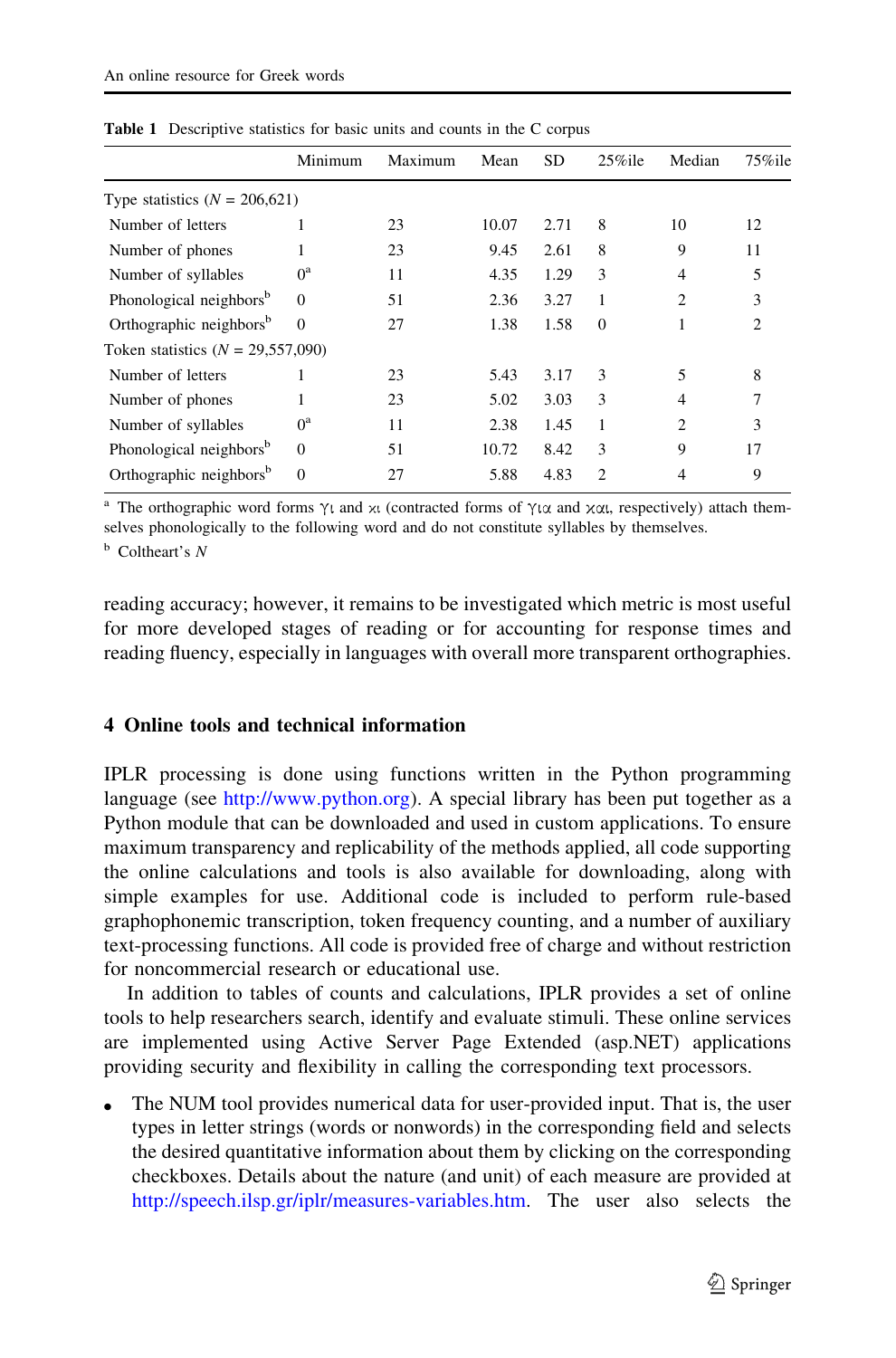|                                     | Minimum     | Maximum | Mean  | <b>SD</b> | $25\%$ ile     | Median         | $75\%$ ile     |
|-------------------------------------|-------------|---------|-------|-----------|----------------|----------------|----------------|
| Type statistics $(N = 206,621)$     |             |         |       |           |                |                |                |
| Number of letters                   |             | 23      | 10.07 | 2.71      | 8              | 10             | 12             |
| Number of phones                    |             | 23      | 9.45  | 2.61      | 8              | 9              | 11             |
| Number of syllables                 | $0^a$       | 11      | 4.35  | 1.29      | 3              | $\overline{4}$ | 5              |
| Phonological neighbors <sup>b</sup> | $\Omega$    | 51      | 2.36  | 3.27      | 1              | $\mathfrak{D}$ | 3              |
| Orthographic neighbors <sup>b</sup> | $\Omega$    | 27      | 1.38  | 1.58      | $\mathbf{0}$   | 1              | $\mathfrak{D}$ |
| Token statistics $(N = 29,557,090)$ |             |         |       |           |                |                |                |
| Number of letters                   |             | 23      | 5.43  | 3.17      | 3              | 5              | 8              |
| Number of phones                    |             | 23      | 5.02  | 3.03      | 3              | $\overline{4}$ |                |
| Number of syllables                 | $0^{\rm a}$ | 11      | 2.38  | 1.45      | 1              | 2              | 3              |
| Phonological neighbors <sup>b</sup> | $\Omega$    | 51      | 10.72 | 8.42      | 3              | 9              | 17             |
| Orthographic neighbors <sup>b</sup> | $\Omega$    | 27      | 5.88  | 4.83      | $\overline{c}$ | 4              | 9              |
|                                     |             |         |       |           |                |                |                |

<span id="page-6-0"></span>Table 1 Descriptive statistics for basic units and counts in the C corpus

<sup>a</sup> The orthographic word forms  $\gamma$ t and  $\times$ t (contracted forms of  $\gamma$ t $\alpha$  and  $\times$  $\alpha$ t, respectively) attach themselves phonologically to the following word and do not constitute syllables by themselves.

 $<sup>b</sup>$  Coltheart's N</sup>

reading accuracy; however, it remains to be investigated which metric is most useful for more developed stages of reading or for accounting for response times and reading fluency, especially in languages with overall more transparent orthographies.

### 4 Online tools and technical information

IPLR processing is done using functions written in the Python programming language (see <http://www.python.org>). A special library has been put together as a Python module that can be downloaded and used in custom applications. To ensure maximum transparency and replicability of the methods applied, all code supporting the online calculations and tools is also available for downloading, along with simple examples for use. Additional code is included to perform rule-based graphophonemic transcription, token frequency counting, and a number of auxiliary text-processing functions. All code is provided free of charge and without restriction for noncommercial research or educational use.

In addition to tables of counts and calculations, IPLR provides a set of online tools to help researchers search, identify and evaluate stimuli. These online services are implemented using Active Server Page Extended (asp.NET) applications providing security and flexibility in calling the corresponding text processors.

The NUM tool provides numerical data for user-provided input. That is, the user types in letter strings (words or nonwords) in the corresponding field and selects the desired quantitative information about them by clicking on the corresponding checkboxes. Details about the nature (and unit) of each measure are provided at <http://speech.ilsp.gr/iplr/measures-variables.htm>. The user also selects the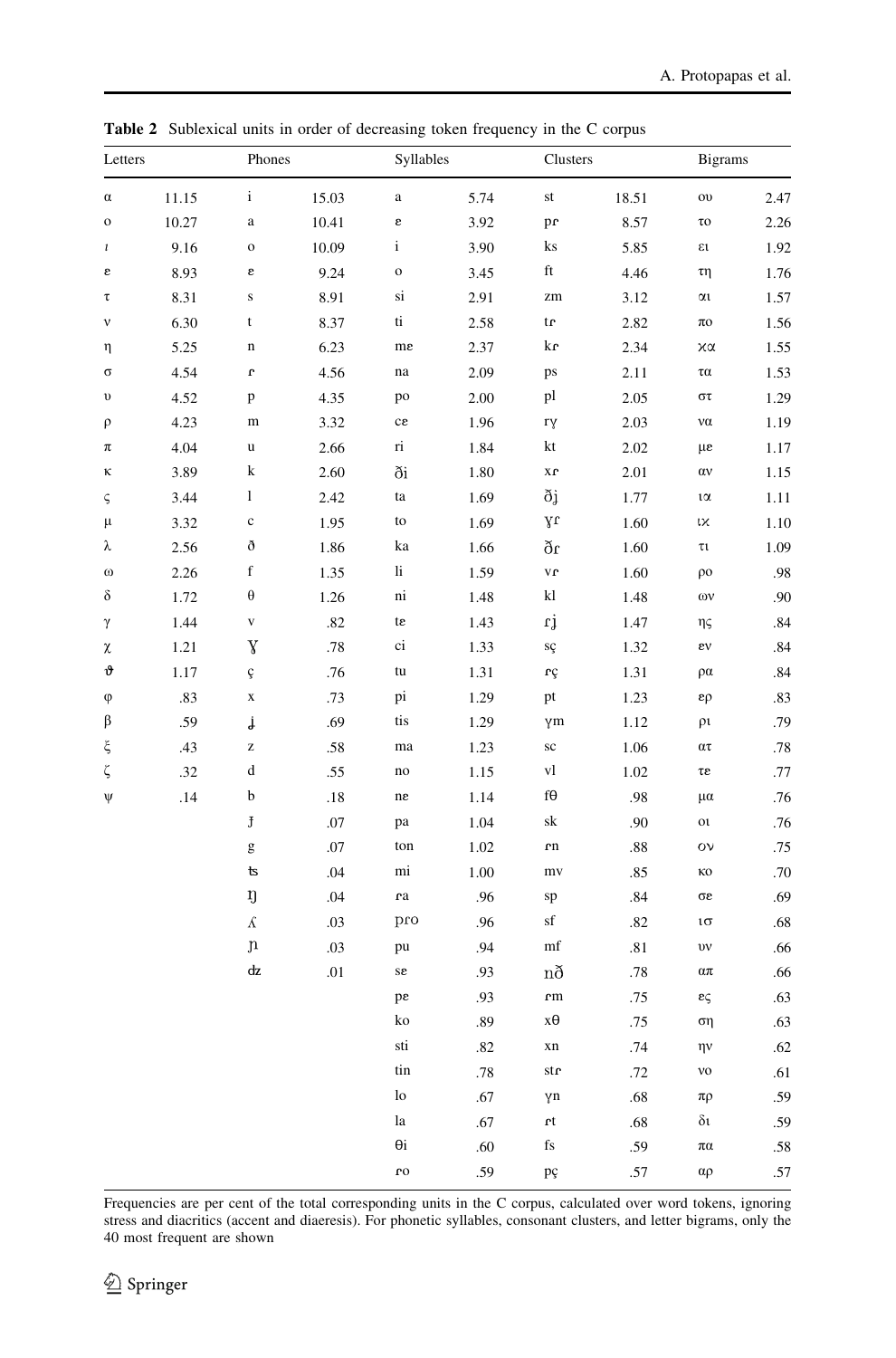| Letters      |       | Phones                |       | Syllables           |      | Clusters            |       | <b>Bigrams</b>         |      |
|--------------|-------|-----------------------|-------|---------------------|------|---------------------|-------|------------------------|------|
| $\alpha$     | 11.15 | $\rm i$               | 15.03 | $\rm{a}$            | 5.74 | $\operatorname{st}$ | 18.51 | <b>ου</b>              | 2.47 |
| $\mathbf{o}$ | 10.27 | $\rm{a}$              | 10.41 | $\pmb{\varepsilon}$ | 3.92 | pr                  | 8.57  | $\tau\mathrm{o}$       | 2.26 |
| $\iota$      | 9.16  | $\mathbf{o}$          | 10.09 | $\mathbf{i}$        | 3.90 | ks                  | 5.85  | $\epsilon$             | 1.92 |
| ε            | 8.93  | S                     | 9.24  | $\mathbf{o}$        | 3.45 | ft                  | 4.46  | $\tau$ η               | 1.76 |
| $\tau$       | 8.31  | S                     | 8.91  | si                  | 2.91 | zm                  | 3.12  | αι                     | 1.57 |
| $\mathbf v$  | 6.30  | t                     | 8.37  | ti                  | 2.58 | tr                  | 2.82  | $\pi\mathrm{o}$        | 1.56 |
| η            | 5.25  | n                     | 6.23  | me                  | 2.37 | kr                  | 2.34  | $\times \alpha$        | 1.55 |
| $\sigma$     | 4.54  | $\mathbf r$           | 4.56  | na                  | 2.09 | ps                  | 2.11  | $\tau\alpha$           | 1.53 |
| $\upsilon$   | 4.52  | p                     | 4.35  | po                  | 2.00 | pl                  | 2.05  | $\sigma\tau$           | 1.29 |
| $\rho$       | 4.23  | m                     | 3.32  | $\rm{c}\rm{e}$      | 1.96 | ry                  | 2.03  | να                     | 1.19 |
| $\pi$        | 4.04  | u                     | 2.66  | ri                  | 1.84 | kt                  | 2.02  | με                     | 1.17 |
| κ            | 3.89  | k                     | 2.60  | ði                  | 1.80 | $\mathbf{X}$        | 2.01  | $\alpha v$             | 1.15 |
| ς            | 3.44  | l                     | 2.42  | ta                  | 1.69 | ðj                  | 1.77  | ια                     | 1.11 |
| μ            | 3.32  | $\mathbf c$           | 1.95  | to                  | 1.69 | γr                  | 1.60  | ιx                     | 1.10 |
| λ            | 2.56  | ð                     | 1.86  | ka                  | 1.66 | ðr                  | 1.60  | τι                     | 1.09 |
| $\omega$     | 2.26  | $\mathbf f$           | 1.35  | li                  | 1.59 | ٧ſ                  | 1.60  | ρo                     | .98  |
| $\delta$     | 1.72  | $\boldsymbol{\theta}$ | 1.26  | ni                  | 1.48 | kl                  | 1.48  | $\omega v$             | .90  |
| γ            | 1.44  | $\mathbf{V}$          | .82   | te                  | 1.43 | rj                  | 1.47  | ης                     | .84  |
| χ            | 1.21  | γ                     | .78   | ci                  | 1.33 | sç                  | 1.32  | ev                     | .84  |
| ύ            | 1.17  | ç                     | .76   | tu                  | 1.31 | rç                  | 1.31  | $\rho\alpha$           | .84  |
| $\phi$       | .83   | $\mathbf x$           | .73   | pi                  | 1.29 | pt                  | 1.23  | $\epsilon$ p           | .83  |
| β            | .59   | j                     | .69   | tis                 | 1.29 | γm                  | 1.12  | $\rho$                 | .79  |
| $\xi$        | .43   | z                     | .58   | ma                  | 1.23 | sc                  | 1.06  | $\alpha\tau$           | .78  |
| $\zeta$      | .32   | d                     | .55   | no                  | 1.15 | vl                  | 1.02  | τε                     | .77  |
| $\psi$       | .14   | b                     | .18   | ne                  | 1.14 | fθ                  | .98   | μα                     | .76  |
|              |       | $\mathbbmss{f}$       | .07   | pa                  | 1.04 | sk                  | .90   | $_{\rm O1}$            | .76  |
|              |       | g                     | .07   | ton                 | 1.02 | rn                  | .88   | $\mathsf{O}\mathsf{V}$ | .75  |
|              |       | ts                    | .04   | mi                  | 1.00 | mv                  | .85   | кo                     | .70  |
|              |       | ŋ                     | .04   | ra                  | .96  | sp                  | .84   | σε                     | .69  |
|              |       | $\vec{\Lambda}$       | .03   | pro                 | .96  | sf                  | .82   | ισ                     | .68  |
|              |       | $\mathbf{n}$          | .03   | pu                  | .94  | mf                  | .81   | $\mathsf{U}\mathsf{V}$ | .66  |
|              |       | dz                    | .01   | se                  | .93  | nð                  | .78   | $\alpha\pi$            | .66  |
|              |       |                       |       | pe                  | .93  | rm                  | .75   | $\epsilon$ ς           | .63  |
|              |       |                       |       | ko                  | .89  | $x\theta$           | .75   | ση                     | .63  |
|              |       |                       |       | sti                 | .82  | xn                  | .74   | $\eta v$               | .62  |
|              |       |                       |       | tin                 | .78  | str                 | .72   | $\mathsf{v}\mathsf{o}$ | .61  |
|              |       |                       |       | lo                  | .67  | γn                  | .68   | $\pi\rho$              | .59  |
|              |       |                       |       | la                  | .67  | rt                  | .68   | δι                     | .59  |
|              |       |                       |       | $\theta$ i          | .60  | fs                  | .59   | $\pi\alpha$            | .58  |
|              |       |                       |       | 0 <sub>1</sub>      | .59  | pç                  | .57   | $\alpha \rho$          | .57  |

<span id="page-7-0"></span>Table 2 Sublexical units in order of decreasing token frequency in the C corpus

Frequencies are per cent of the total corresponding units in the C corpus, calculated over word tokens, ignoring stress and diacritics (accent and diaeresis). For phonetic syllables, consonant clusters, and letter bigrams, only the 40 most frequent are shown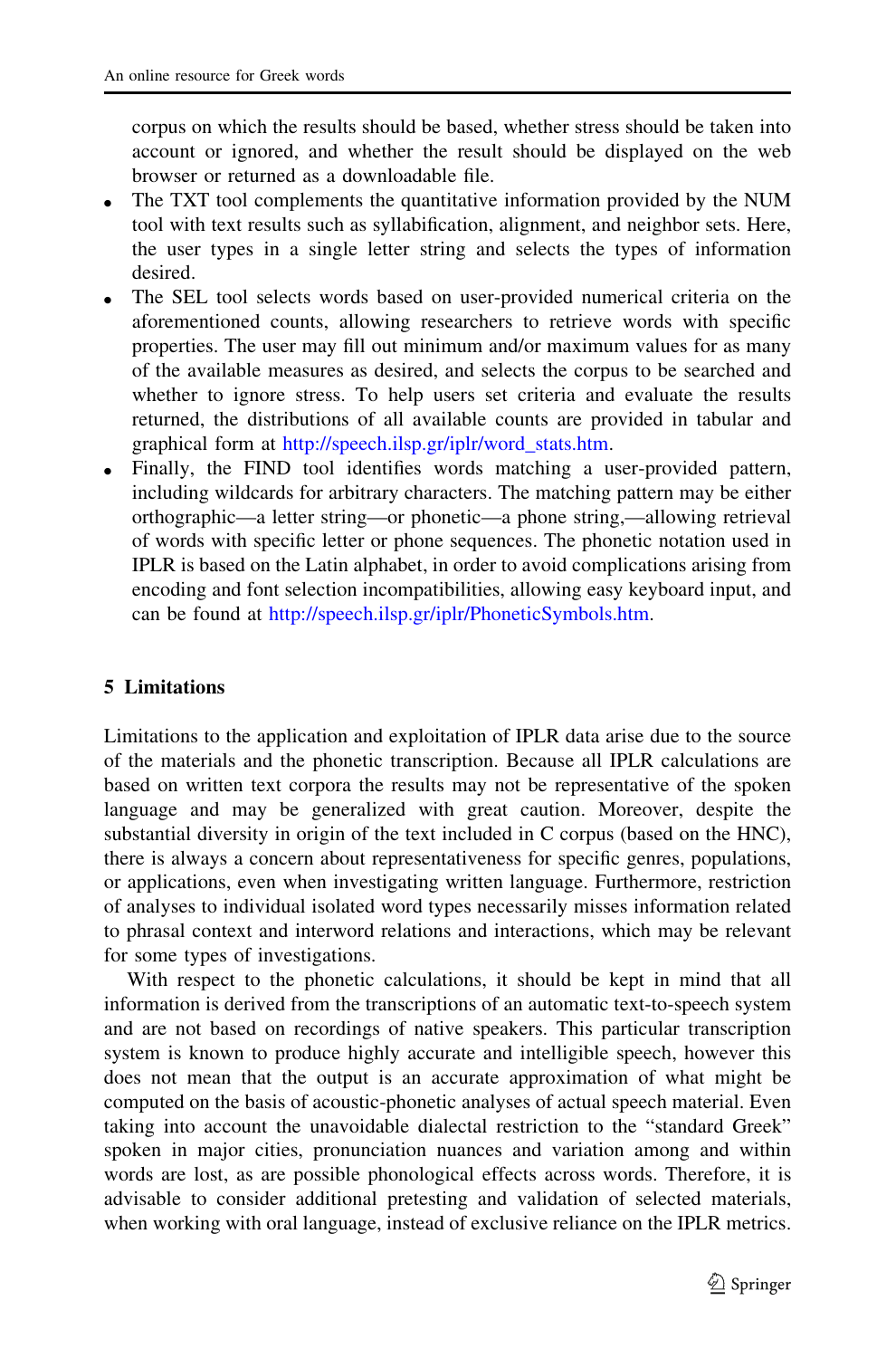corpus on which the results should be based, whether stress should be taken into account or ignored, and whether the result should be displayed on the web browser or returned as a downloadable file.

- The TXT tool complements the quantitative information provided by the NUM tool with text results such as syllabification, alignment, and neighbor sets. Here, the user types in a single letter string and selects the types of information desired.
- The SEL tool selects words based on user-provided numerical criteria on the aforementioned counts, allowing researchers to retrieve words with specific properties. The user may fill out minimum and/or maximum values for as many of the available measures as desired, and selects the corpus to be searched and whether to ignore stress. To help users set criteria and evaluate the results returned, the distributions of all available counts are provided in tabular and graphical form at [http://speech.ilsp.gr/iplr/word\\_stats.htm.](http://speech.ilsp.gr/iplr/word_stats.htm)
- Finally, the FIND tool identifies words matching a user-provided pattern, including wildcards for arbitrary characters. The matching pattern may be either orthographic—a letter string—or phonetic—a phone string,—allowing retrieval of words with specific letter or phone sequences. The phonetic notation used in IPLR is based on the Latin alphabet, in order to avoid complications arising from encoding and font selection incompatibilities, allowing easy keyboard input, and can be found at [http://speech.ilsp.gr/iplr/PhoneticSymbols.htm.](http://speech.ilsp.gr/iplr/PhoneticSymbols.htm)

# 5 Limitations

Limitations to the application and exploitation of IPLR data arise due to the source of the materials and the phonetic transcription. Because all IPLR calculations are based on written text corpora the results may not be representative of the spoken language and may be generalized with great caution. Moreover, despite the substantial diversity in origin of the text included in C corpus (based on the HNC), there is always a concern about representativeness for specific genres, populations, or applications, even when investigating written language. Furthermore, restriction of analyses to individual isolated word types necessarily misses information related to phrasal context and interword relations and interactions, which may be relevant for some types of investigations.

With respect to the phonetic calculations, it should be kept in mind that all information is derived from the transcriptions of an automatic text-to-speech system and are not based on recordings of native speakers. This particular transcription system is known to produce highly accurate and intelligible speech, however this does not mean that the output is an accurate approximation of what might be computed on the basis of acoustic-phonetic analyses of actual speech material. Even taking into account the unavoidable dialectal restriction to the "standard Greek" spoken in major cities, pronunciation nuances and variation among and within words are lost, as are possible phonological effects across words. Therefore, it is advisable to consider additional pretesting and validation of selected materials, when working with oral language, instead of exclusive reliance on the IPLR metrics.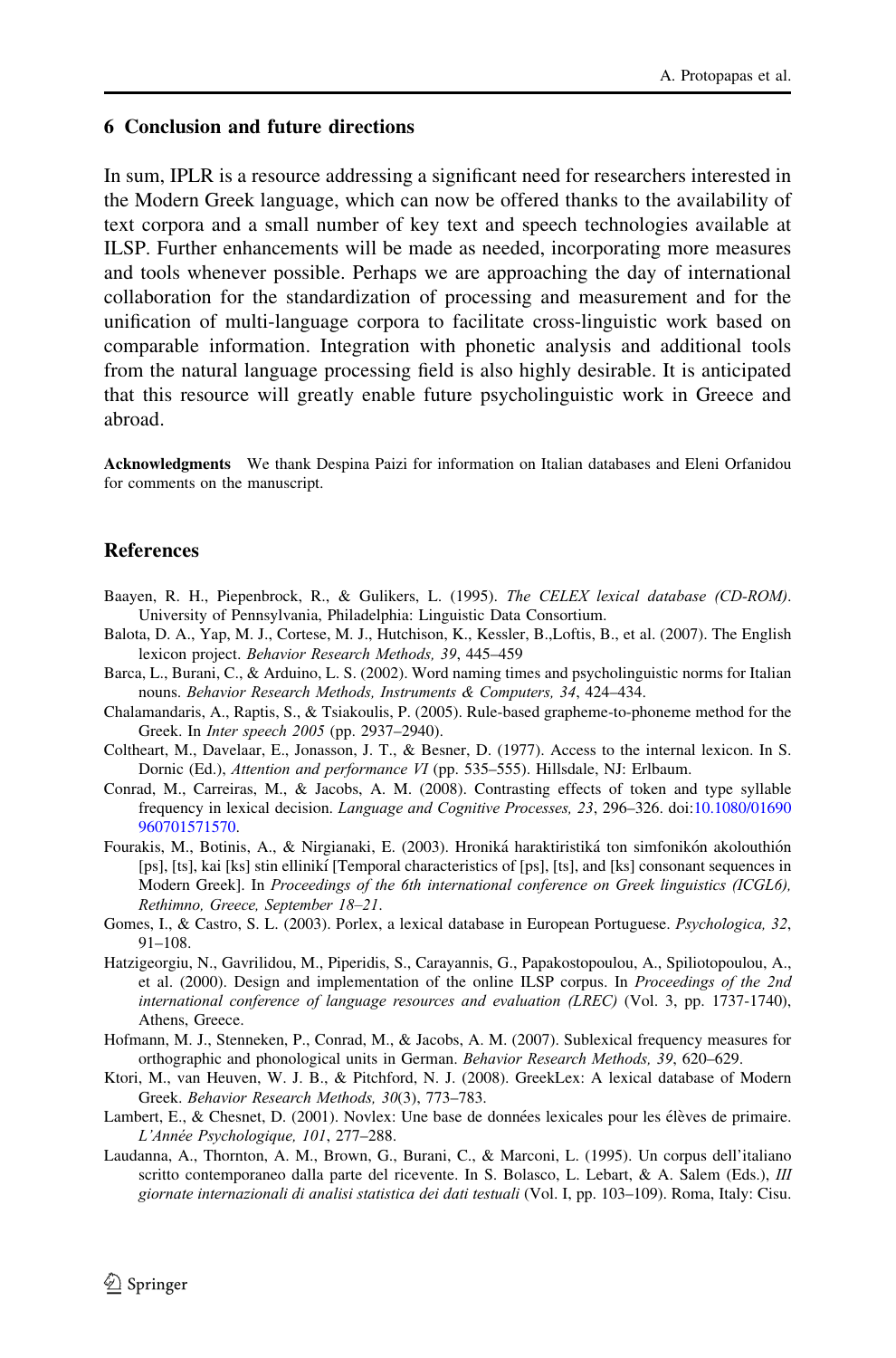#### <span id="page-9-0"></span>6 Conclusion and future directions

In sum, IPLR is a resource addressing a significant need for researchers interested in the Modern Greek language, which can now be offered thanks to the availability of text corpora and a small number of key text and speech technologies available at ILSP. Further enhancements will be made as needed, incorporating more measures and tools whenever possible. Perhaps we are approaching the day of international collaboration for the standardization of processing and measurement and for the unification of multi-language corpora to facilitate cross-linguistic work based on comparable information. Integration with phonetic analysis and additional tools from the natural language processing field is also highly desirable. It is anticipated that this resource will greatly enable future psycholinguistic work in Greece and abroad.

Acknowledgments We thank Despina Paizi for information on Italian databases and Eleni Orfanidou for comments on the manuscript.

#### **References**

- Baayen, R. H., Piepenbrock, R., & Gulikers, L. (1995). The CELEX lexical database (CD-ROM). University of Pennsylvania, Philadelphia: Linguistic Data Consortium.
- Balota, D. A., Yap, M. J., Cortese, M. J., Hutchison, K., Kessler, B.,Loftis, B., et al. (2007). The English lexicon project. Behavior Research Methods, 39, 445–459
- Barca, L., Burani, C., & Arduino, L. S. (2002). Word naming times and psycholinguistic norms for Italian nouns. Behavior Research Methods, Instruments & Computers, 34, 424–434.
- Chalamandaris, A., Raptis, S., & Tsiakoulis, P. (2005). Rule-based grapheme-to-phoneme method for the Greek. In Inter speech 2005 (pp. 2937–2940).
- Coltheart, M., Davelaar, E., Jonasson, J. T., & Besner, D. (1977). Access to the internal lexicon. In S. Dornic (Ed.), Attention and performance VI (pp. 535–555). Hillsdale, NJ: Erlbaum.
- Conrad, M., Carreiras, M., & Jacobs, A. M. (2008). Contrasting effects of token and type syllable frequency in lexical decision. Language and Cognitive Processes, 23, 296–326. doi[:10.1080/01690](http://dx.doi.org/10.1080/01690960701571570) [960701571570.](http://dx.doi.org/10.1080/01690960701571570)
- Fourakis, M., Botinis, A., & Nirgianaki, E. (2003). Hroniká haraktiristiká ton simfonikón akolouthión [ps], [ts], kai [ks] stin ellinikí [Temporal characteristics of [ps], [ts], and [ks] consonant sequences in Modern Greek]. In Proceedings of the 6th international conference on Greek linguistics (ICGL6), Rethimno, Greece, September 18–21.
- Gomes, I., & Castro, S. L. (2003). Porlex, a lexical database in European Portuguese. *Psychologica*, 32, 91–108.
- Hatzigeorgiu, N., Gavrilidou, M., Piperidis, S., Carayannis, G., Papakostopoulou, A., Spiliotopoulou, A., et al. (2000). Design and implementation of the online ILSP corpus. In Proceedings of the 2nd international conference of language resources and evaluation (LREC) (Vol. 3, pp. 1737-1740), Athens, Greece.
- Hofmann, M. J., Stenneken, P., Conrad, M., & Jacobs, A. M. (2007). Sublexical frequency measures for orthographic and phonological units in German. Behavior Research Methods, 39, 620–629.
- Ktori, M., van Heuven, W. J. B., & Pitchford, N. J. (2008). GreekLex: A lexical database of Modern Greek. Behavior Research Methods, 30(3), 773–783.
- Lambert, E., & Chesnet, D. (2001). Novlex: Une base de données lexicales pour les élèves de primaire. L'Année Psychologique, 101, 277–288.
- Laudanna, A., Thornton, A. M., Brown, G., Burani, C., & Marconi, L. (1995). Un corpus dell'italiano scritto contemporaneo dalla parte del ricevente. In S. Bolasco, L. Lebart, & A. Salem (Eds.), III giornate internazionali di analisi statistica dei dati testuali (Vol. I, pp. 103–109). Roma, Italy: Cisu.